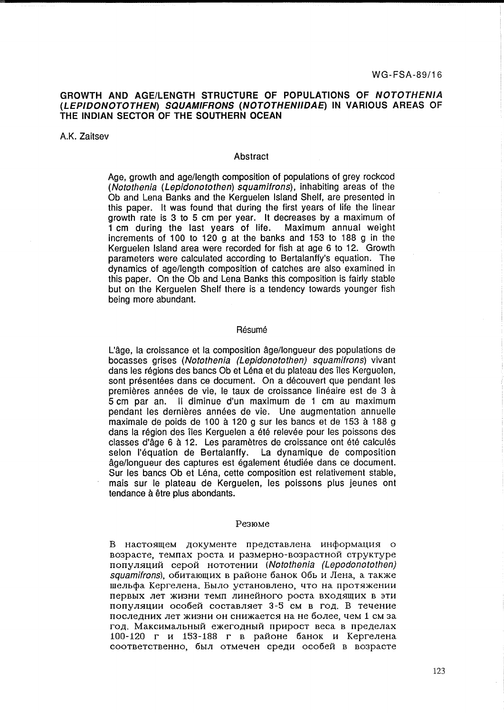# **GROWTH AND AGE/LENGTH STRUCTURE OF POPULATIONS OF NOTOTHENIA (LEPIDONOTOTHEN) SQUAMIFRONS (NOTOTHENIIDAE) IN VARIOUS AREAS OF THE INDIAN SECTOR OF THE SOUTHERN OCEAN**

A.K. Zaitsev

#### Abstract

Age, growth and age/length composition of populations of grey rockcod (Notothenia (Lepidonotothen) squamifrons), inhabiting areas of the Ob and Lena Banks and the Kerguelen Island Shelf, are presented in this paper. It was found that during the first years of life the linear growth rate is 3 to 5 cm per year. It decreases by a maximum of 1 cm during the last years of life. Maximum annual weight increments of 100 to 120 g at the banks and 153 to 188 g in the Kerguelen Island area were recorded for fish at age 6 to 12. Growth parameters were calculated according to Bertalanffy's equation. The dynamics of age/length composition of catches are also examined in this paper. On the Ob and Lena Banks this composition is fairly stable but on the Kerguelen Shelf there is a tendency towards younger fish being more abundant.

# Résumé

L'age, la croissance et la composition age/longueur des populations de bocasses grises (Notothenia (Lepidonotothen) squamifrons) vivant dans les régions des bancs Ob et Léna et du plateau des îles Kerguelen, sont présentées dans ce document. On a découvert que pendant les premières années de vie, le taux de croissance linéaire est de 3 à 5 cm par an. 11 diminue d'un maximum de 1 cm au maximum pendant les dernières années de vie. Une augmentation annuelle maximale de poids de 100 à 120 g sur les bancs et de 153 à 188 g dans la région des îles Kerguelen a été relevée pour les poissons des classes d'âge 6 à 12. Les paramètres de croissance ont été calculés selon l'équation de Bertalanffy. La dynamique de composition âge/longueur des captures est également étudiée dans ce document. Sur les bancs Ob et Léna, cette composition est relativement stable, mais sur le plateau de Kerguelen, les poissons plus jeunes ont tendance à être plus abondants.

#### Pe3IOMe

B настоящем документе представлена информация о возрасте, темпах роста и размерно-возрастной структуре популяций серой нототении (Notothenia (Lepodonotothen)  $s$ quamifrons), обитающих в районе банок Обь и Лена, а также шельфа Кергелена. Было установлено, что на протяжении первых лет жизни темп линейного роста входящих в эти популяции особей составляет 3-5 см в год. В течение последних лет жизни он снижается на не более, чем 1 см за год. Максимальный ежегодный прирост веса в пределах 100-120 г и 153-188 г в районе банок и Кергелена соответственно, был отмечен среди особей в возрасте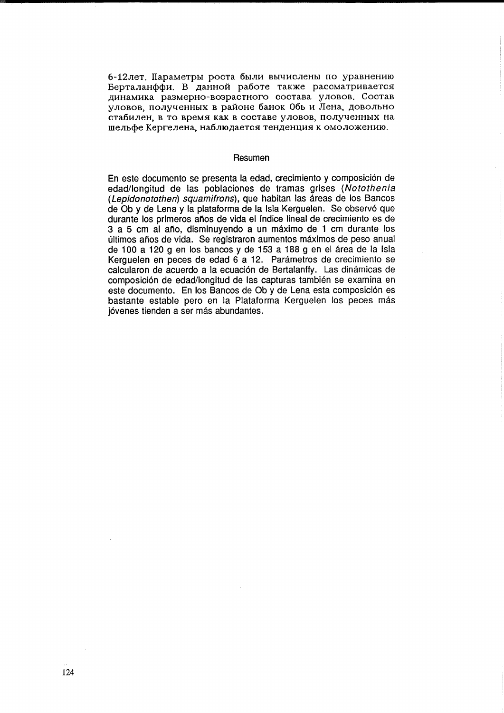6-12лет. Параметры роста были вычислены по уравнению Берталанффи. В данной работе также рассматривается динамика размерно-возрастного состава уловов. Состав уловов, полученных в районе банок Обь и Лена, довольно стабилен, в то время как в составе уловов, полученных на шельфе Кергелена, наблюдается тенденция к омоложению.

## Resumen

En este documento se presenta la edad, crecimiento y composición de edad/longitud de las poblaciones de tramas grises (Notothenia (Lepidonotothen) squamifrons), que habitan las áreas de los Bancos de Ob y de Lena y la plataforma de la Isla Kerguelen. Se observó que durante los primeros años de vida el índice lineal de crecimiento es de 3 a 5 cm al año, disminuyendo a un máximo de 1 cm durante los últimos años de vida. Se registraron aumentos máximos de peso anual de 100 a 120 g en los bancos y de 153 a 188 g en el área de la Isla Kerguelen en peces de edad 6 a 12. Parámetros de crecimiento se calcularon de acuerdo a la ecuación de Bertalanffy. Las dinámicas de composición de edad/longitud de las capturas también se examina en este documento. En los Bancos de Ob y de Lena esta composición es bastante estable pero en la Plataforma Kerguelen los peces más jóvenes tienden a ser más abundantes.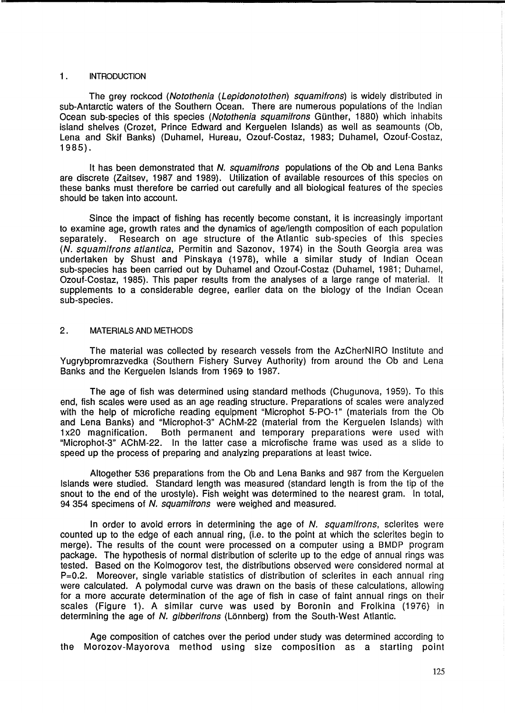# 1. **INTRODUCTION**

The grey rockcod (Notothenia (Lepidonotothen) squamifrons) is widely distributed in sub-Antarctic waters of the Southern Ocean. There are numerous populations of the Indian Ocean sub-species of this species (Notothenia squamifrons Günther, 1880) which inhabits island shelves (Crozet, Prince Edward and Kerguelen Islands) as well as seamounts (Ob, Lena and Skif Banks) (Duhamel, Hureau, Ozouf-Costaz, 1983; Duhamel, Ozouf-Costaz, 1985).

It has been demonstrated that N. squamifrons populations of the Ob and Lena Banks are discrete (Zaitsev, 1987 and 1989). Utilization of available resources of this species on these banks must therefore be carried out carefully and all biological features of the species should be taken into account.

Since the impact of fishing has recently become constant, it is increasingly important to examine age, growth rates and the dynamics of age/length composition of each population separately. Research on age structure of the Atlantic sub-species of this species (N. squamifrons atlantica, Permitin and Sazonov, 1974) in the South Georgia area was undertaken by Shust and Pinskaya (1978), while a similar study of Indian Ocean sub-species has been carried out by Duhamel and Ozouf-Costaz (Duhamel, 1981; Duhamel, Ozouf-Costaz, 1985). This paper results from the analyses of a large range of material. It supplements to a considerable degree, earlier data on the biology of the Indian Ocean sub-species.

# 2. MATERIALS AND METHODS

The material was collected by research vessels from the AzCherNIRO Institute and Yugrybpromrazvedka (Southern Fishery Survey Authority) from around the Ob and Lena Banks and the Kerguelen Islands from 1969 to 1987.

The age of fish was determined using standard methods (Chugunova, 1959). To this end, fish scales were used as an age reading structure. Preparations of scales were analyzed with the help of microfiche reading equipment "Microphot 5-PO-1" (materials from the Ob and Lena Banks) and "Microphot-3" AChM-22 (material from the Kerguelen Islands) with 1 x20 magnification. Both permanent and temporary preparations were used with "Microphot-3" AChM-22. In the latter case a microfische frame was used as a slide to speed up the process of preparing and analyzing preparations at least twice.

Altogether 536 preparations from the Ob and Lena Banks and 987 from the Kerguelen Islands were studied. Standard length was measured (standard length is from the tip of the snout to the end of the urostyle). Fish weight was determined to the nearest gram. In total, 94 354 specimens of N. squamifrons were weighed and measured.

In order to avoid errors in determining the age of  $N$ . squamitrons, sclerites were counted up to the edge of each annual ring, (Le. to the point at which the sclerites begin to merge). The results of the count were processed on a computer using a BMDP program package. The hypothesis of normal distribution of sclerite up to the edge of annual rings was tested. Based on the Kolmogorov test, the distributions observed were considered normal at P=0.2. Moreover, single variable statistics of distribution of sclerites in each annual ring were calculated. A polymodal curve was drawn on the basis of these calculations, allowing for a more accurate determination of the age of fish in case of faint annual rings on their scales (Figure 1). A similar curve was used by Boronin and Frolkina (1976) in determining the age of N. gibberifrons (Lönnberg) from the South-West Atlantic.

Age composition of catches over the period under study was determined according to the Morozov-Mayorova method using size composition as a starting point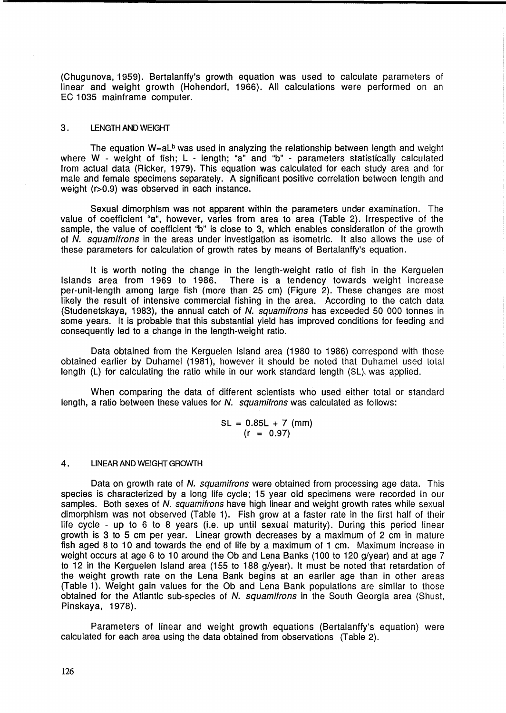(Chugunova, 1959). Bertalanffy's growth equation was used to calculate parameters of linear and weight growth (Hohendorf, 1966). All calculations were performed on an EC 1035 mainframe computer.

#### 3. LENGTH AND WEIGHT

The equation  $W=aL^b$  was used in analyzing the relationship between length and weight where W - weight of fish; L - length; "a" and "b" - parameters statistically calculated from actual data (Ricker, 1979). This equation was calculated for each study area and for male and female specimens separately. A significant positive correlation between length and weight (r>0.9) was observed in each instance.

Sexual dimorphism was not apparent within the parameters under examination. The value of coefficient "a", however, varies from area to area (Table 2). Irrespective of the sample, the value of coefficient "b" is close to 3, which enables consideration of the growth of N. squamitrons in the areas under investigation as isometric. It also allows the use of these parameters for calculation of growth rates by means of Bertalanffy's equation.

It is worth noting the change in the length-weight ratio of fish in the Kerguelen Islands area from 1969 to 1986. There is a tendency towards weight increase per-unit-Iength among large fish (more than 25 cm) (Figure 2). These changes are most likely the result of intensive commercial fishing in the area. According to the catch data (Studenetskaya, 1983), the annual catch of N. squamifrons has exceeded 50 000 tonnes in some years. It is probable that this substantial yield has improved conditions for feeding and consequently led to a change in the length-weight ratio.

Data obtained from the Kerguelen Island area (1980 to 1986) correspond with those obtained earlier by Duhamel (1981), however it should be noted that Duhamel used total length  $(L)$  for calculating the ratio while in our work standard length  $(SL)$ , was applied.

When comparing the data of different scientists who used either total or standard length, a ratio between these values for N. squamifrons was calculated as follows:

$$
SL = 0.85L + 7 \text{ (mm)}
$$
  
(r = 0.97)

#### 4. LINEAR AND WEIGHT GROWTH

Data on growth rate of N. squamifrons were obtained from processing age data. This species is characterized by a long life cycle; 15 year old specimens were recorded in our samples. Both sexes of N. squamitrons have high linear and weight growth rates while sexual dimorphism was not observed (Table 1). Fish grow at a faster rate in the first half of their life cycle - up to 6 to 8 years (i.e. up until sexual maturity). During this period linear growth is 3 to 5 cm per year. Linear growth decreases by a maximum of 2 cm in mature fish aged 8 to 10 and towards the end of life by a maximum of 1 cm. Maximum increase in weight occurs at age 6 to 10 around the Ob and Lena Banks (100 to 120 g/year) and at age 7 to 12 in the Kerguelen Island area (155 to 188 g/year). It must be noted that retardation of the weight growth rate on the Lena Bank begins at an earlier age than in other areas (Table 1). Weight gain values for the Ob and Lena Bank populations are similar to those obtained for the Atlantic sub-species of N. squamitrons in the South Georgia area (Shust, Pinskaya, 1978).

Parameters of linear and weight growth equations (Bertalanffy's equation) were calculated for each area using the data obtained from observations (Table 2).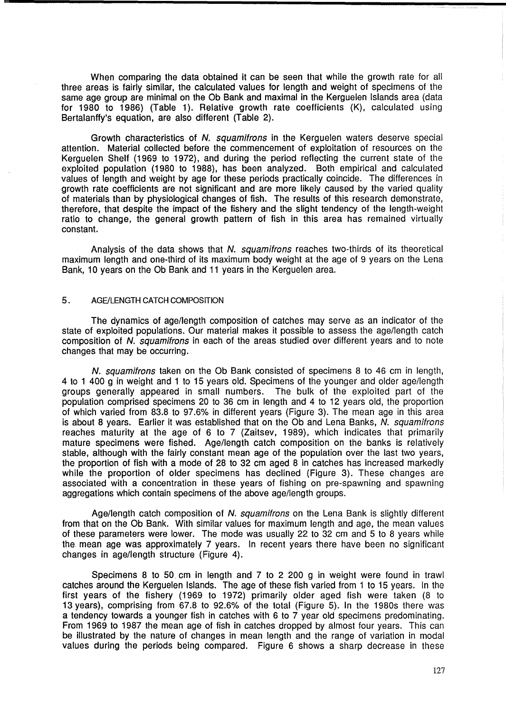When comparing the data obtained it can be seen that while the growth rate for all three areas is fairly similar, the calculated values for length and weight of specimens of the same age group are minimal on the Ob Bank and maximal in the Kerguelen Islands area (data for 1980 to 1986) (Table 1). Relative growth rate coefficients (K), calculated using Bertalanffy's equation, are also different (Table 2).

Growth characteristics of N. squamifrons in the Kerguelen waters deserve special attention. Material collected before the commencement of exploitation of resources on the Kerguelen Shelf (1969 to 1972), and during the period reflecting the current state of the exploited population (1980 to 1988), has been analyzed. Both empirical and calculated values of length and weight by age for these periods practically coincide. The differences in growth rate coefficients are not significant and are more likely caused by the varied quality of materials than by physiological changes of fish. The results of this research demonstrate, therefore, that despite the impact of the fishery and the slight tendency of the length-weight ratio to change, the general growth pattern of fish in this area has remained virtually constant.

Analysis of the data shows that N. squamifrons reaches two-thirds of its theoretical maximum length and one-third of its maximum body weight at the age of 9 years on the Lena Bank, 10 years on the Ob Bank and 11 years in the Kerguelen area.

## 5. AGE/LENGTH CATCH COMPOSITION

The dynamics of age/length composition of catches may serve as an indicator of the state of exploited populations. Our material makes it possible to assess the age/length catch composition of N. squamifrons in each of the areas studied over different years and to note changes that may be occurring.

N. squamifrons taken on the Ob Bank consisted of specimens 8 to 46 cm in length, 4 to 1 400 g in weight and 1 to 15 years old. Specimens of the younger and older age/length groups generally appeared in small numbers. The bulk of the exploited part of the population comprised specimens 20 to 36 cm in length and 4 to 12 years old, the proportion of which varied from 83.8 to 97.6% in different years (Figure 3). The mean age in this area is about 8 years. Earlier it was established that on the Ob and Lena Banks, N. squamifrons reaches maturity at the age of 6 to 7 (Zaitsev, 1989), which indicates that primarily mature specimens were fished. Age/length catch composition on the banks is relatively stable, although with the fairly constant mean age of the population over the last two years, the proportion of fish with a mode of 28 to 32 cm aged 8 in catches has increased markedly while the proportion of older specimens has declined (Figure 3). These changes are associated with a concentration in these years of fishing on pre-spawning and spawning aggregations which contain specimens of the above age/length groups.

Age/length catch composition of N. squamifrons on the Lena Bank is slightly different from that on the Ob Bank. With similar values for maximum length and age, the mean values of these parameters were lower. The mode was usually 22 to 32 cm and 5 to 8 years while the mean age was approximately 7 years. In recent years there have been no significant changes in age/length structure (Figure 4).

Specimens 8 to 50. cm in length and 7 to 2 200 g in weight were found in trawl catches around the Kerguelen Islands. The age of these fish varied from 1 to 15 years. In the first years of the fishery (1969 to 1972) primarily older aged fish were taken (8 to 13 years), comprising from 67.8 to 92.6% of the total (Figure 5). In the 1980s there was a tendency towards a younger fish in catches with 6 to 7 year old specimens predominating. From 1969 to 1987 the mean age of fish in catches dropped by almost four years. This can be illustrated by the nature of changes in mean length and the range of variation in modal values during the periods being compared. Figure 6 shows a sharp decrease in these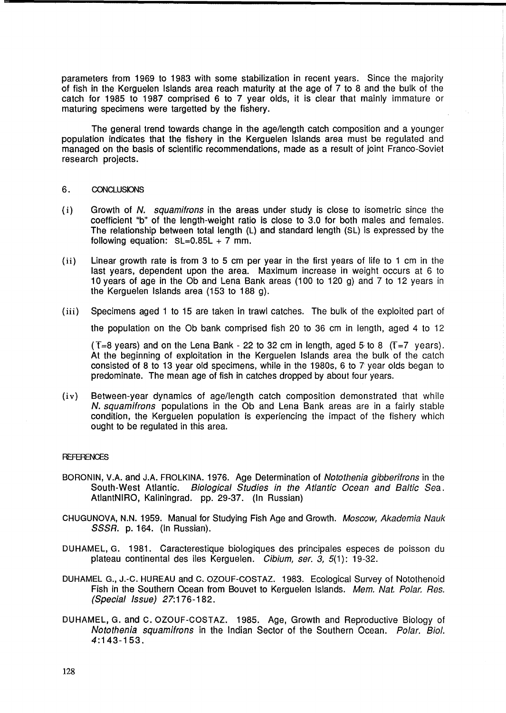parameters from 1969 to 1983 with some stabilization in recent years. Since the majority of fish in the Kerguelen Islands area reach maturity at the age of 7 to 8 and the bulk of the catch for 1985 to 1987 comprised 6 to 7 year olds, it is clear that mainly immature or maturing specimens were targetted by the fishery.

The general trend towards change in the age/length catch composition and a younger population indicates that the fishery in the Kerguelen Islands area must be regulated and managed on the basis of scientific recommendations, made as a result of joint Franco-Soviet research projects.

## 6. CONCLUSIONS

- (i) Growth of N. squamifrons in the areas under study is close to isometric since the coefficient "b" of the length-weight ratio is close to 3.0 for both males and females. The relationship between total length (L) and standard length (SL) is expressed by the following equation:  $SL=0.85L + 7$  mm.
- (ii) Linear growth rate is from 3 to 5 cm per year in the first years of life to 1 cm in the last years, dependent upon the area. Maximum increase in weight occurs at 6 to 10 years of age in the Ob and Lena Bank areas (100 to 120 g) and 7 to 12 years in the Kerguelen Islands area (153 to 188 g).
- (iii) Specimens aged 1 to 15 are taken in trawl catches. The bulk of the exploited part of

the population on the Ob bank comprised fish 20 to 36 cm in length, aged 4 to 12

(T=8 years) and on the Lena Bank - 22 to 32 cm in length, aged 5 to 8 (T=7 years). At the beginning of exploitation in the Kerguelen Islands area the bulk of the catch consisted of 8 to 13 year old specimens, while in the 1980s, 6 to 7 year olds began to predominate. The mean age of fish in catches dropped by about four years.

(iv) Between-year dynamics of age/length catch composition demonstrated that while N. squamifrons populations in the Ob and Lena Bank areas are in a fairly stable condition, the Kerguelen population is experiencing the impact of the fishery which ought to be regulated in this area.

## **REFERENCES**

- BORONIN, V.A. and J.A. FROLKINA. 1976. Age Determination of Notothenia gibberifrons in the South-West Atlantic. Biological Studies in the Atlantic Ocean and Baltic Sea. AtlantNIRO, Kaliningrad. pp. 29-37. (In Russian)
- CHUGUNOVA, N.N. 1959. Manual for Studying Fish Age and Growth. Moscow, Akademia Nauk SSSR. p. 164. (In Russian).
- DUHAMEL, G. 1981. Caracterestique biologiques des principales especes de poisson du plateau continental des iles Kerguelen. Cibium, ser. 3, 5(1): 19-32.
- DUHAMEL G., J.-C. HUREAU and C. OZOUF-COSTAZ. 1983. Ecological Survey of Notothenoid Fish in the Southern Ocean from Bouvet to Kerguelen Islands. Mem. Nat. Polar. Res. (Special Issue) 27:176-182.
- DUHAMEL, G. and C. OZOUF-COSTAZ. 1985. Age, Growth and Reproductive Biology of Notothenia squamifrons in the Indian Sector of the Southern Ocean. Polar. BioI. 4:143-153.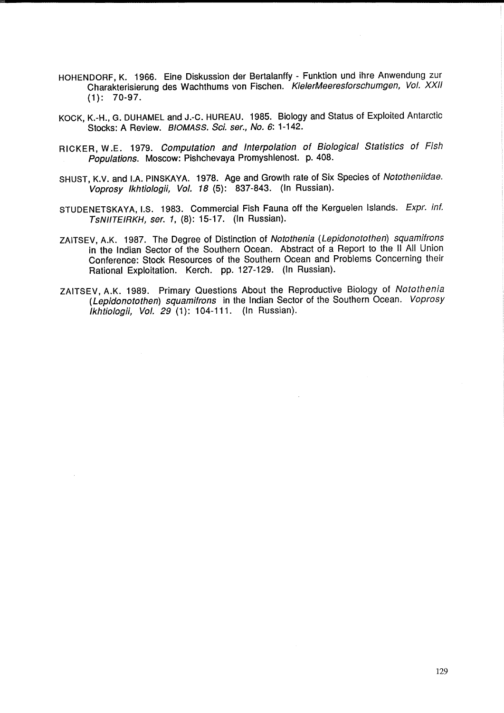- HOHENDORF, K. 1966. Eine Diskussion der Bertalanffy Funktion und ihre Anwendung zur Charakterisierung des Wachthums von Fischen. KielerMeeresforschumgen, Vol. XXII (1): 70-97.
- KOCK, K.-H., G. DUHAMEL and J.-C. HUREAU. 1985. Biology and Status of Exploited Antarctic Stocks: A Review. BIOMASS. Sci. ser., No. 6: 1-142.
- RICKER, W.E. 1979. Computation and Interpolation of Biological Statistics of Fish Populations. Moscow: Pishchevaya Promyshlenost. p. 408.
- SHUST, K.V. and LA. PINSKAYA. 1978. Age and Growth rate of Six Species of Nototheniidae. Voprosy Ikhtiologii, Vol. 18 (5): 837-843. (In Russian).
- STUDENETSKAYA, I.S. 1983. Commercial Fish Fauna off the Kerguelen Islands. Expr. inf. TsNIITE/RKH, ser. 1, (8): 15-17. (In Russian).
- ZAITSEV, A.K. 1987. The Degree of Distinction of Notothenia (Lepidonotothen) squamifrons in the Indian Sector of the Southern Ocean. Abstract of a Report to the 11 All Union Conference: Stock Resources of the Southern Ocean and Problems Concerning their Rational Exploitation. Kerch. pp. 127-129. (In Russian).
- ZAITSEV, A.K. 1989. Primary Questions About the Reproductive Biology of Notothenia (Lepidonotothen) squamifrons in the Indian Sector of the Southern Ocean. Voprosy  $ikhiioloqii$ . Vol.  $29(1)$ : 104-111. (In Russian).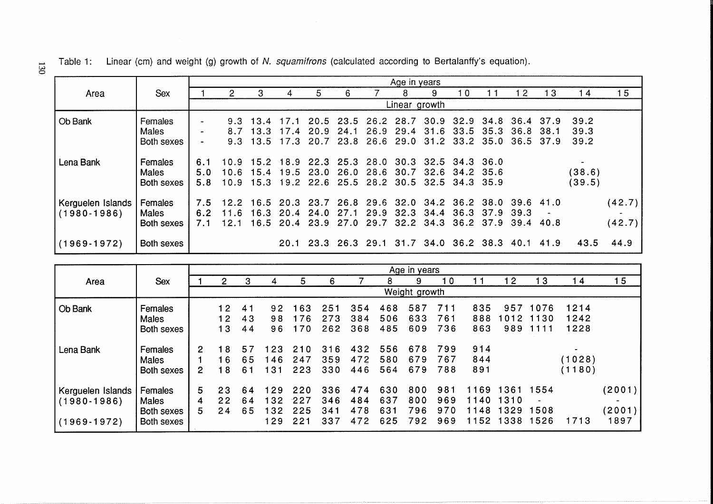|                                      |                                       | Age in years      |                      |                                      |              |                                                                                                           |              |                        |                                  |                          |                        |                        |                   |       |                      |                  |
|--------------------------------------|---------------------------------------|-------------------|----------------------|--------------------------------------|--------------|-----------------------------------------------------------------------------------------------------------|--------------|------------------------|----------------------------------|--------------------------|------------------------|------------------------|-------------------|-------|----------------------|------------------|
| Area                                 | Sex                                   |                   |                      | З                                    |              | 5                                                                                                         | 6            |                        | 8                                | 9                        | 10                     |                        |                   | 13    | -4                   | 15               |
|                                      |                                       |                   |                      |                                      |              |                                                                                                           |              |                        | Linear growth                    |                          |                        |                        |                   |       |                      |                  |
| Ob Bank                              | Females<br><b>Males</b><br>Both sexes | $\overline{a}$    | 8.7                  | $9.3 \pm 13.4$<br>13.3<br>$9.3$ 13.5 | 17.4<br>17.3 | 17.1 20.5 23.5 26.2 28.7 30.9 32.9<br>20.9<br>20.7                                                        | 24.1         | 26.9<br>23.8 26.6 29.0 | 29.4                             | 31.2                     | 31.6 33.5<br>33.2 35.0 | 34.8 36.4 37.9<br>35.3 | 36.8<br>36.5 37.9 | -38.1 | 39.2<br>39.3<br>39.2 |                  |
| Lena Bank                            | Females<br><b>Males</b><br>Both sexes | 6.1<br>5.0<br>5.8 | 10.9                 | $10.6$ 15.4                          | 19.5         | 15.2 18.9 22.3 25.3 28.0 30.3 32.5 34.3 36.0<br>23.0<br>10.9 15.3 19.2 22.6 25.5 28.2 30.5 32.5 34.3 35.9 | 26.0         | 28.6 30.7              |                                  |                          | 32.6 34.2 35.6         |                        |                   |       | (38.6)<br>(39.5)     |                  |
| Kerguelen Islands<br>$(1980 - 1986)$ | Females<br><b>Males</b><br>Both sexes | 7.5<br>6.2<br>7.1 | 12.2<br>11.6<br>12.1 | 16.3<br>16.5                         | 20.4<br>20.4 | 16.5 20.3 23.7 26.8 29.6 32.0 34.2 36.2 38.0 39.6 41.0<br>24.0<br>23.9                                    | 27.1<br>27.0 | 29.9                   | 32.3<br>29.7 32.2 34.3 36.2 37.9 | 34.4                     | 36.3                   | 37.9                   | 39.3<br>39.4      | 40.8  |                      | (42.7)<br>(42.7) |
| $(1969 - 1972)$                      | Both sexes                            |                   |                      |                                      | 20.1         | 23.3                                                                                                      | 26.329.1     |                        |                                  | 31.7 34.0 36.2 38.3 40.1 |                        |                        |                   | 41.9  | 43.5                 | 44.9             |

|                   |              | Age in years |               |    |     |      |     |     |     |     |     |      |      |      |                |        |
|-------------------|--------------|--------------|---------------|----|-----|------|-----|-----|-----|-----|-----|------|------|------|----------------|--------|
| Area              | <b>Sex</b>   |              |               | З  | 4   | 5    | 6   |     |     | 9   | 10  |      | -2   | -3   | 14             | 5      |
|                   |              |              | Weight growth |    |     |      |     |     |     |     |     |      |      |      |                |        |
| <b>Ob Bank</b>    | Females      |              | 12            | 41 | 92  | 163  | 251 | 354 | 468 | 587 | 711 | 835  | 957  | 1076 | 1214           |        |
|                   | <b>Males</b> |              | 12            | 43 | 98  | 176  | 273 | 384 | 506 | 633 | 761 | 888  | 012  | 1130 | 1242           |        |
|                   | Both sexes   |              | 13            | 44 | 96  | 170  | 262 | 368 | 485 | 609 | 736 | 863  | 989  | 1111 | 1228           |        |
| Lena Bank         | Females      | 2            | 18            | 57 | 123 | 210  | 316 | 432 | 556 | 678 | 799 | 914  |      |      | $\blacksquare$ |        |
|                   | Males        |              | 16            | 65 | 146 | 247  | 359 | 472 | 580 | 679 | 767 | 844  |      |      | (1028)         |        |
|                   | Both sexes   | 2            | 18            | 61 | 131 | 223  | 330 | 446 | 564 | 679 | 788 | 891  |      |      | (1180)         |        |
| Kerguelen Islands | Females      | 5            | 23            | 64 | 129 | 220  | 336 | 474 | 630 | 800 | 981 | 1169 | 1361 | 1554 |                | (2001) |
| $(1980 - 1986)$   | Males        | 4            | 22            | 64 | 132 | -227 | 346 | 484 | 637 | 800 | 969 | 1140 | 1310 |      |                |        |
|                   | Both sexes   | 5.           | 24            | 65 | 132 | 225  | 341 | 478 | 631 | 796 | 970 | 1148 | 1329 | 1508 |                | (2001) |
| $(1969 - 1972)$   | Both sexes   |              |               |    | 129 | 221  | 337 | 472 | 625 | 792 | 969 | 1152 | 1338 | 1526 | 1713           | 1897   |

 $\overline{130}$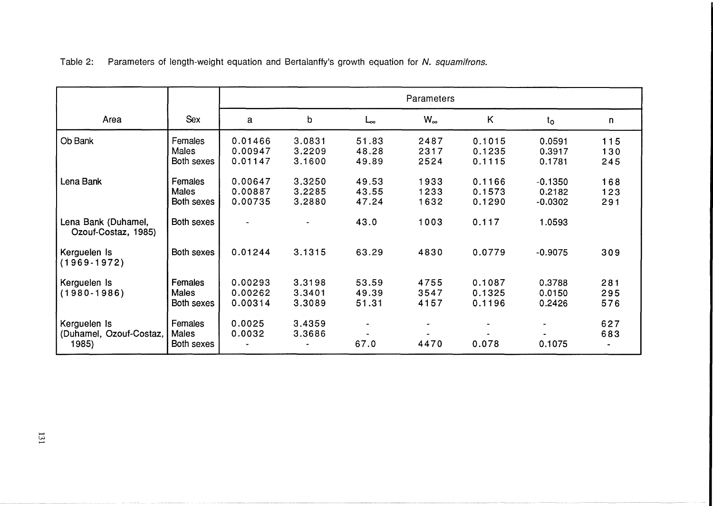|  | Table 2: |  |  |  |  |  |  | . Parameters of length-weight equation and Bertalanffy's growth equation for N. squamifrons. |
|--|----------|--|--|--|--|--|--|----------------------------------------------------------------------------------------------|
|--|----------|--|--|--|--|--|--|----------------------------------------------------------------------------------------------|

|                                                  |                                       | Parameters                    |                            |                         |                      |                            |                                  |                   |  |  |  |
|--------------------------------------------------|---------------------------------------|-------------------------------|----------------------------|-------------------------|----------------------|----------------------------|----------------------------------|-------------------|--|--|--|
| Area                                             | <b>Sex</b>                            | a                             | b                          | حما                     | $W_{\infty}$         | K                          | $t_{\rm o}$                      | n                 |  |  |  |
| Ob Bank                                          | Females<br><b>Males</b><br>Both sexes | 0.01466<br>0.00947<br>0.01147 | 3.0831<br>3.2209<br>3.1600 | 51.83<br>48.28<br>49.89 | 2487<br>2317<br>2524 | 0.1015<br>0.1235<br>0.1115 | 0.0591<br>0.3917<br>0.1781       | 115<br>130<br>245 |  |  |  |
| Lena Bank                                        | Females<br><b>Males</b><br>Both sexes | 0.00647<br>0.00887<br>0.00735 | 3.3250<br>3.2285<br>3.2880 | 49.53<br>43.55<br>47.24 | 1933<br>1233<br>1632 | 0.1166<br>0.1573<br>0.1290 | $-0.1350$<br>0.2182<br>$-0.0302$ | 168<br>123<br>291 |  |  |  |
| Lena Bank (Duhamel,<br>Ozouf-Costaz, 1985)       | Both sexes                            | $\overline{\phantom{a}}$      |                            | 43.0                    | 1003                 | 0.117                      | 1.0593                           |                   |  |  |  |
| Kerguelen Is<br>$(1969-1972)$                    | Both sexes                            | 0.01244                       | 3.1315                     | 63.29                   | 4830                 | 0.0779                     | $-0.9075$                        | 309               |  |  |  |
| Kerguelen Is<br>$(1980 - 1986)$                  | Females<br><b>Males</b><br>Both sexes | 0.00293<br>0.00262<br>0.00314 | 3.3198<br>3.3401<br>3.3089 | 53.59<br>49.39<br>51.31 | 4755<br>3547<br>4157 | 0.1087<br>0.1325<br>0.1196 | 0.3788<br>0.0150<br>0.2426       | 281<br>295<br>576 |  |  |  |
| Kerguelen Is<br>(Duhamel, Ozouf-Costaz,<br>1985) | Females<br><b>Males</b><br>Both sexes | 0.0025<br>0.0032              | 3.4359<br>3.3686           | 67.0                    | 4470                 | 0.078                      | $\blacksquare$<br>0.1075         | 627<br>683        |  |  |  |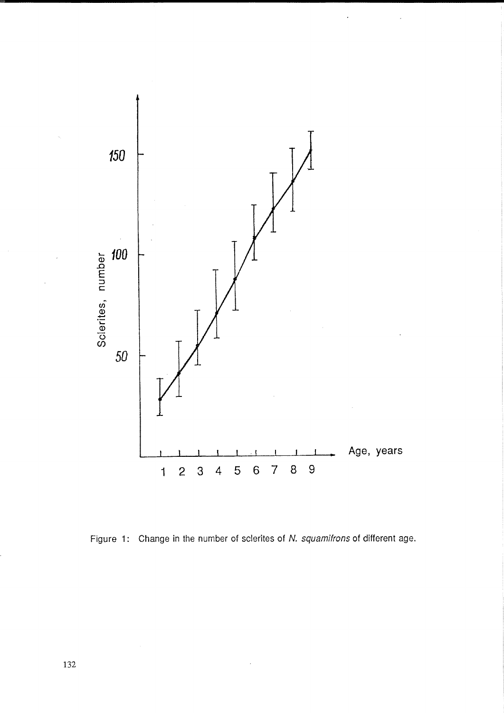

Figure 1: Change in the number of sclerites of N. squamifrons of different age.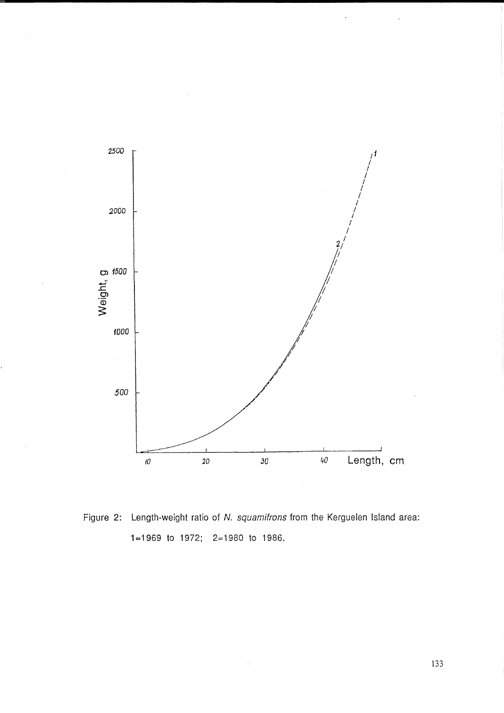

Figure 2: Length-weight ratio of N. squamifrons from the Kerguelen Island area: 1=1969 to 1972; 2=1980 to 1986.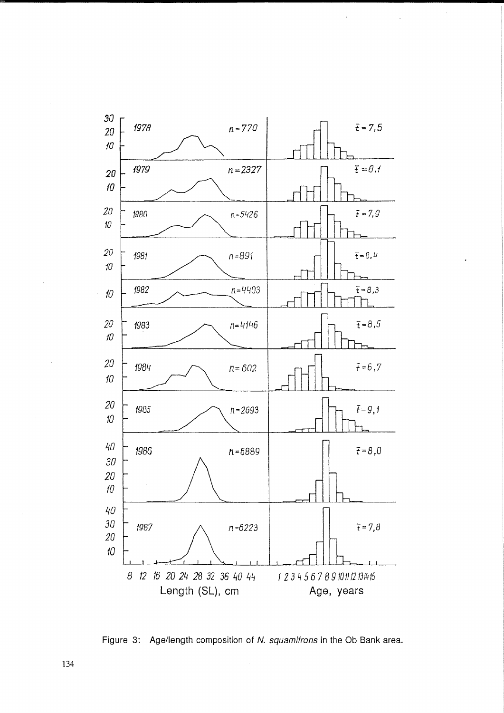

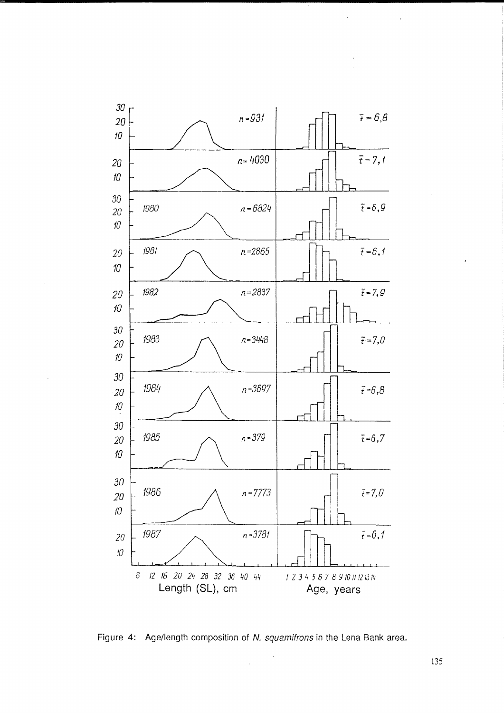

Figure 4: Age/length composition of N. squamifrons in the Lena Bank area.

 $\hat{\mathcal{A}}$ 

135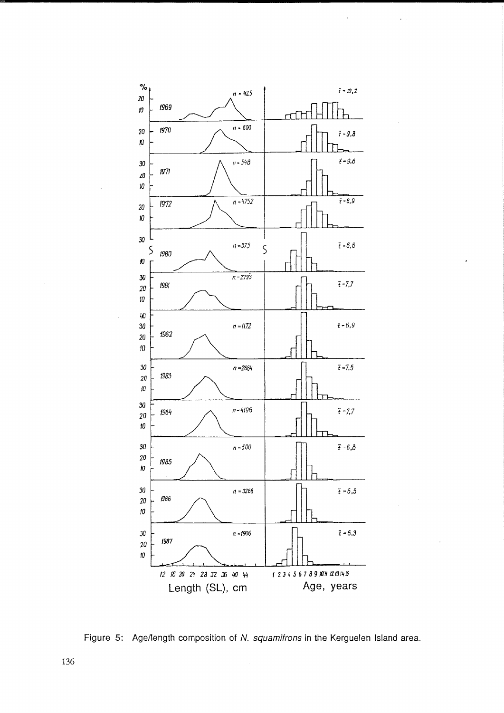

Figure 5: Age/length composition of N. squamifrons in the Kerguelen Island area.

 $\hat{\mathcal{L}}$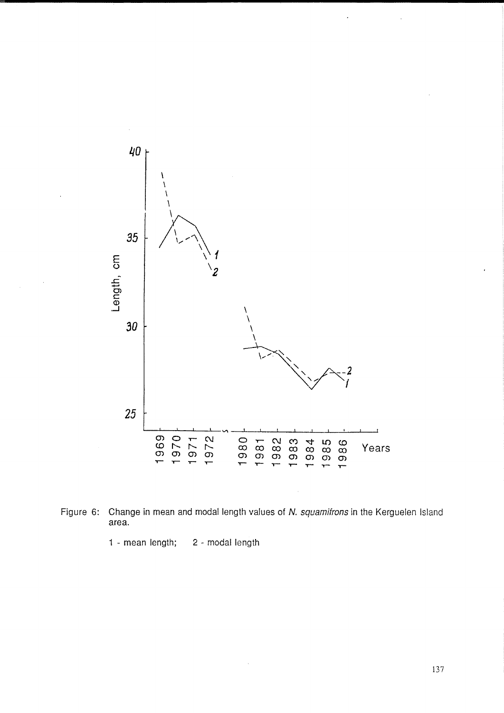



1 - mean length; 2 - modal length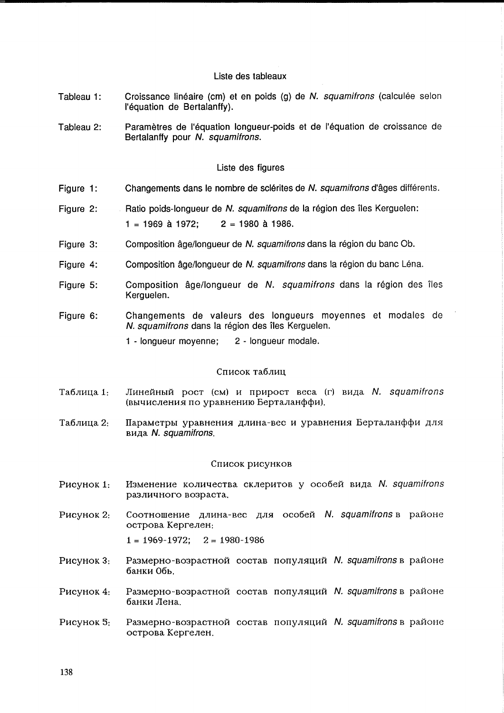# Liste des tableaux

- Tableau 1: Croissance linéaire (cm) et en poids (g) de N. squamifrons (calculée selon I'equation de Bertalanffy).
- Tableau 2: Paramètres de l'équation longueur-poids et de l'équation de croissance de Bertalanffy pour N. squamitrons.

# Liste des figures

- Figure 1: Changements dans le nombre de sclérites de N. squamifrons d'âges différents.
- Figure 2: Ratio poids-longueur de N. squamifrons de la région des îles Kerguelen:  $1 = 1969$  à 1972;  $2 = 1980$  à 1986.
- Figure 3: Composition âge/longueur de N. squamifrons dans la région du banc Ob.
- Figure 4: Composition âge/longueur de N. squamifrons dans la région du banc Léna.
- Figure 5: Composition âge/longueur de N. squamifrons dans la région des îles Kerguelen.
- Figure 6: Changements de valeurs des longueurs moyennes et modales de N. squamifrons dans la région des îles Kerguelen.
	- 1 longueur moyenne; 2 longueur modale.

## Список таблиц

- Линейный рост (см) и прирост веса (г) вида N. squamifrons Таблица 1: (вычисления по уравнению Берталанффи).
- Таблица 2: Параметры уравнения длина-вес и уравнения Берталанффи для вида N. squamifrons.

#### Список рисунков

- P<sub>HC</sub>y<sub>HOK</sub> 1: Изменение количества склеритов у особей вида N. squamifrons различного возраста.
- P<sub>HCVHOK</sub> 2: Соотношение длина-вес для особей N. squamifrons в районе острова Кергелен:

 $1 = 1969 - 1972$ ;  $2 = 1980 - 1986$ 

- P<sub>H</sub>cy<sub>HOK</sub> 3: Размерно-возрастной состав популяций  $N$ . squamifrons в районе 6aHKH 06b.
- P<sub>HC</sub>y<sub>HOK</sub> 4: Размерно-возрастной состав популяций  $N$ . squamifrons в районе 6aHKH JIeHa.
- P<sub>HC</sub>y<sub>HOK</sub> 5: Размерно-возрастной состав популяций  $N$ . squamifrons в районе острова Кергелен.